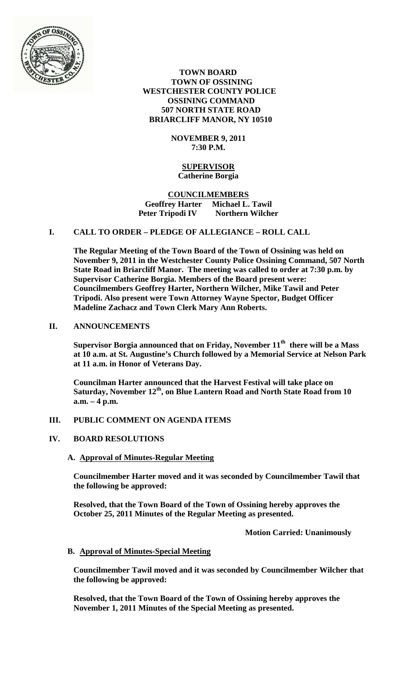

 **TOWN BOARD TOWN OF OSSINING WESTCHESTER COUNTY POLICE OSSINING COMMAND 507 NORTH STATE ROAD BRIARCLIFF MANOR, NY 10510**

> **NOVEMBER 9, 2011 7:30 P.M.**

# **SUPERVISOR Catherine Borgia**

## **COUNCILMEMBERS Geoffrey Harter Michael L. Tawil Peter Tripodi IV Northern Wilcher**

# **I. CALL TO ORDER – PLEDGE OF ALLEGIANCE – ROLL CALL**

**The Regular Meeting of the Town Board of the Town of Ossining was held on November 9, 2011 in the Westchester County Police Ossining Command, 507 North State Road in Briarcliff Manor. The meeting was called to order at 7:30 p.m. by Supervisor Catherine Borgia. Members of the Board present were: Councilmembers Geoffrey Harter, Northern Wilcher, Mike Tawil and Peter Tripodi. Also present were Town Attorney Wayne Spector, Budget Officer Madeline Zachacz and Town Clerk Mary Ann Roberts.**

## **II. ANNOUNCEMENTS**

**Supervisor Borgia announced that on Friday, November 11th there will be a Mass at 10 a.m. at St. Augustine's Church followed by a Memorial Service at Nelson Park at 11 a.m. in Honor of Veterans Day.** 

**Councilman Harter announced that the Harvest Festival will take place on Saturday, November 12th, on Blue Lantern Road and North State Road from 10 a.m. – 4 p.m.**

# **III. PUBLIC COMMENT ON AGENDA ITEMS**

#### **IV. BOARD RESOLUTIONS**

## **A. Approval of Minutes-Regular Meeting**

**Councilmember Harter moved and it was seconded by Councilmember Tawil that the following be approved:**

**Resolved, that the Town Board of the Town of Ossining hereby approves the October 25, 2011 Minutes of the Regular Meeting as presented.**

**Motion Carried: Unanimously**

#### **B. Approval of Minutes-Special Meeting**

**Councilmember Tawil moved and it was seconded by Councilmember Wilcher that the following be approved:**

**Resolved, that the Town Board of the Town of Ossining hereby approves the November 1, 2011 Minutes of the Special Meeting as presented.**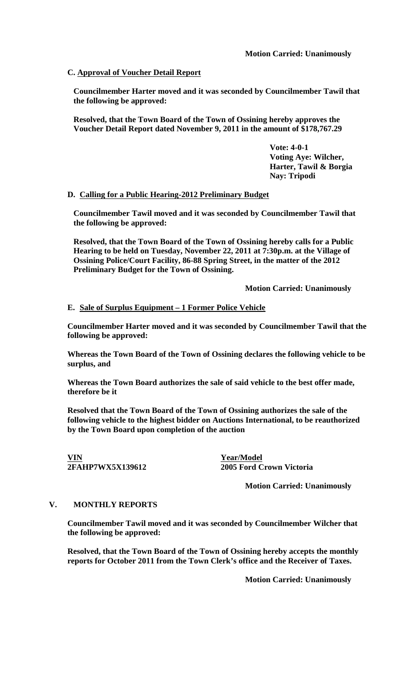## **C. Approval of Voucher Detail Report**

**Councilmember Harter moved and it was seconded by Councilmember Tawil that the following be approved:**

**Resolved, that the Town Board of the Town of Ossining hereby approves the Voucher Detail Report dated November 9, 2011 in the amount of \$178,767.29**

> **Vote: 4-0-1 Voting Aye: Wilcher, Harter, Tawil & Borgia Nay: Tripodi**

## **D. Calling for a Public Hearing-2012 Preliminary Budget**

**Councilmember Tawil moved and it was seconded by Councilmember Tawil that the following be approved:**

**Resolved, that the Town Board of the Town of Ossining hereby calls for a Public Hearing to be held on Tuesday, November 22, 2011 at 7:30p.m. at the Village of Ossining Police/Court Facility, 86-88 Spring Street, in the matter of the 2012 Preliminary Budget for the Town of Ossining.** 

**Motion Carried: Unanimously**

#### **E. Sale of Surplus Equipment – 1 Former Police Vehicle**

**Councilmember Harter moved and it was seconded by Councilmember Tawil that the following be approved:**

**Whereas the Town Board of the Town of Ossining declares the following vehicle to be surplus, and**

**Whereas the Town Board authorizes the sale of said vehicle to the best offer made, therefore be it** 

**Resolved that the Town Board of the Town of Ossining authorizes the sale of the following vehicle to the highest bidder on Auctions International, to be reauthorized by the Town Board upon completion of the auction**

**VIN Year/Model**

**2FAHP7WX5X139612 2005 Ford Crown Victoria**

**Motion Carried: Unanimously**

### **V. MONTHLY REPORTS**

**Councilmember Tawil moved and it was seconded by Councilmember Wilcher that the following be approved:**

**Resolved, that the Town Board of the Town of Ossining hereby accepts the monthly reports for October 2011 from the Town Clerk's office and the Receiver of Taxes.**

**Motion Carried: Unanimously**